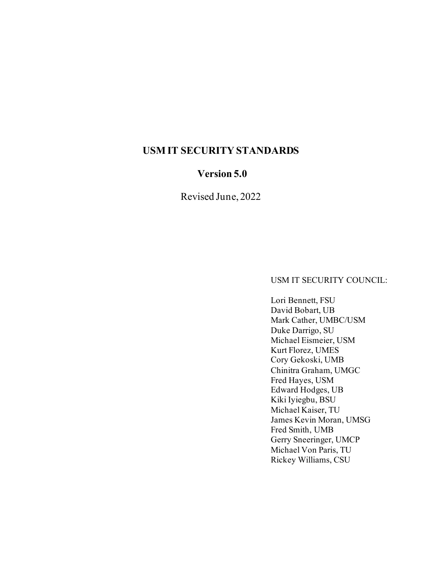## **USM IT SECURITY STANDARDS**

## **Version 5.0**

Revised June, 2022

USM IT SECURITY COUNCIL:

Lori Bennett, FSU David Bobart, UB Mark Cather, UMBC/USM Duke Darrigo, SU Michael Eismeier, USM Kurt Florez, UMES Cory Gekoski, UMB Chinitra Graham, UMGC Fred Hayes, USM Edward Hodges, UB Kiki Iyiegbu, BSU Michael Kaiser, TU James Kevin Moran, UMSG Fred Smith, UMB Gerry Sneeringer, UMCP Michael Von Paris, TU Rickey Williams, CSU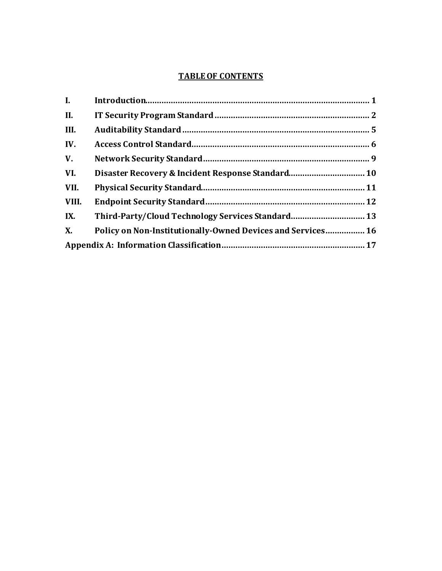#### **TABLE OF CONTENTS**

| I.    |                                                             |  |
|-------|-------------------------------------------------------------|--|
| II.   |                                                             |  |
| III.  |                                                             |  |
| IV.   |                                                             |  |
| V.    |                                                             |  |
| VI.   |                                                             |  |
| VII.  |                                                             |  |
| VIII. |                                                             |  |
| IX.   |                                                             |  |
| X.    | Policy on Non-Institutionally-Owned Devices and Services 16 |  |
|       |                                                             |  |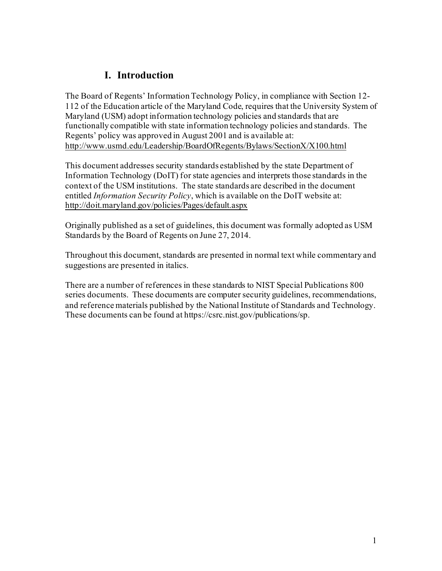# **I. Introduction**

The Board of Regents' Information Technology Policy, in compliance with Section 12- 112 of the Education article of the Maryland Code, requires that the University System of Maryland (USM) adopt information technology policies and standards that are functionally compatible with state information technology policies and standards. The Regents' policy was approved in August 2001 and is available at: <http://www.usmd.edu/Leadership/BoardOfRegents/Bylaws/SectionX/X100.html>

This document addresses security standards established by the state Department of Information Technology (DoIT) for state agencies and interprets those standards in the context of the USM institutions. The state standards are described in the document entitled *Information Security Policy*, which is available on the DoIT website at: <http://doit.maryland.gov/policies/Pages/default.aspx>

Originally published as a set of guidelines, this document was formally adopted as USM Standards by the Board of Regents on June 27, 2014.

Throughout this document, standards are presented in normal text while commentary and suggestions are presented in italics.

There are a number of references in these standards to NIST Special Publications 800 series documents. These documents are computer security guidelines, recommendations, and reference materials published by the National Institute of Standards and Technology. These documents can be found at https://csrc.nist.gov/publications/sp.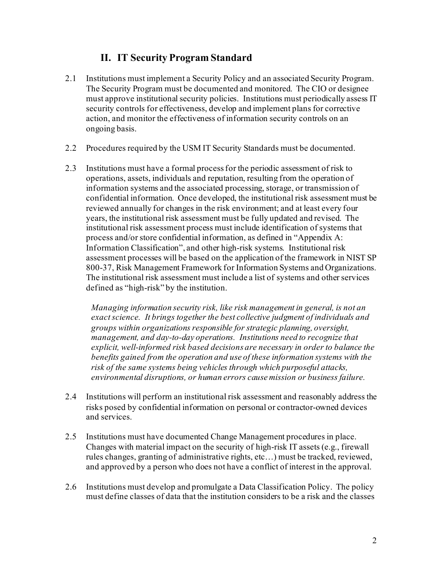## **II. IT Security Program Standard**

- 2.1 Institutions must implement a Security Policy and an associated Security Program. The Security Program must be documented and monitored. The CIO or designee must approve institutional security policies. Institutions must periodically assess IT security controls for effectiveness, develop and implement plans for corrective action, and monitor the effectiveness of information security controls on an ongoing basis.
- 2.2 Procedures required by the USM IT Security Standards must be documented.
- 2.3 Institutions must have a formal process for the periodic assessment of risk to operations, assets, individuals and reputation, resulting from the operation of information systems and the associated processing, storage, or transmission of confidential information. Once developed, the institutional risk assessment must be reviewed annually for changes in the risk environment; and at least every four years, the institutional risk assessment must be fully updated and revised. The institutional risk assessment process must include identification of systems that process and/or store confidential information, as defined in "Appendix A: Information Classification", and other high-risk systems. Institutional risk assessment processes will be based on the application of the framework in NIST SP 800-37, Risk Management Framework for Information Systems and Organizations. The institutional risk assessment must include a list of systems and other services defined as "high-risk" by the institution.

*Managing information security risk, like risk management in general, is not an exact science. It brings together the best collective judgment of individuals and groups within organizations responsible for strategic planning, oversight, management, and day-to-day operations. Institutions need to recognize that explicit, well-informed risk based decisions are necessary in order to balance the benefits gained from the operation and use of these information systems with the risk of the same systems being vehicles through which purposeful attacks, environmental disruptions, or human errors cause mission or business failure.*

- 2.4 Institutions will perform an institutional risk assessment and reasonably address the risks posed by confidential information on personal or contractor-owned devices and services.
- 2.5 Institutions must have documented Change Management procedures in place. Changes with material impact on the security of high-risk IT assets (e.g., firewall rules changes, granting of administrative rights, etc…) must be tracked, reviewed, and approved by a person who does not have a conflict of interest in the approval.
- 2.6 Institutions must develop and promulgate a Data Classification Policy. The policy must define classes of data that the institution considers to be a risk and the classes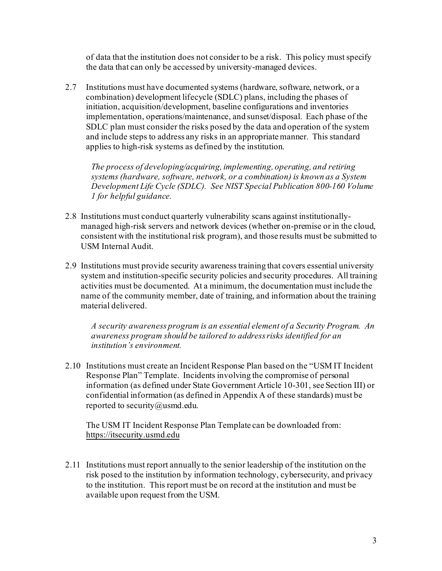of data that the institution does not consider to be a risk. This policy must specify the data that can only be accessed by university-managed devices.

2.7 Institutions must have documented systems (hardware, software, network, or a combination) development lifecycle (SDLC) plans, including the phases of initiation, acquisition/development, baseline configurations and inventories implementation, operations/maintenance, and sunset/disposal. Each phase of the SDLC plan must consider the risks posed by the data and operation of the system and include steps to address any risks in an appropriate manner. This standard applies to high-risk systems as defined by the institution.

*The process of developing/acquiring, implementing, operating, and retiring systems (hardware, software, network, or a combination) is known as a System Development Life Cycle (SDLC). See NIST Special Publication 800-160 Volume 1 for helpful guidance.*

- 2.8 Institutions must conduct quarterly vulnerability scans against institutionallymanaged high-risk servers and network devices (whether on-premise or in the cloud, consistent with the institutional risk program), and those results must be submitted to USM Internal Audit.
- 2.9 Institutions must provide security awareness training that covers essential university system and institution-specific security policies and security procedures. All training activities must be documented. At a minimum, the documentation must include the name of the community member, date of training, and information about the training material delivered.

*A security awareness program is an essential element of a Security Program. An awareness program should be tailored to address risks identified for an institution's environment.*

2.10 Institutions must create an Incident Response Plan based on the "USM IT Incident Response Plan" Template. Incidents involving the compromise of personal information (as defined under State Government Article 10-301, see Section III) or confidential information (as defined in Appendix A of these standards) must be reported to security@usmd.edu.

The USM IT Incident Response Plan Template can be downloaded from: [https://itsecurity.usmd.edu](https://www.usmd.edu/placeholder.html)

2.11 Institutions must report annually to the senior leadership of the institution on the risk posed to the institution by information technology, cybersecurity, and privacy to the institution. This report must be on record at the institution and must be available upon request from the USM.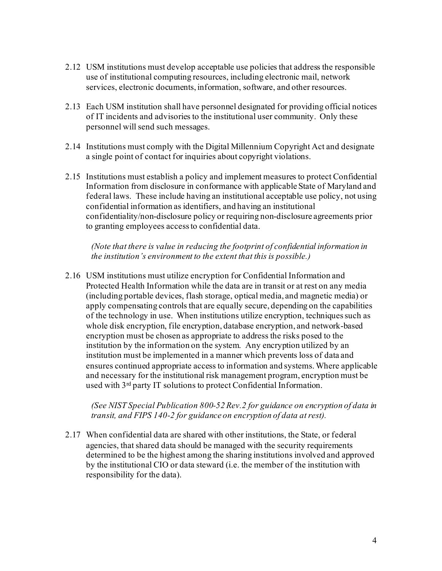- 2.12 USM institutions must develop acceptable use policies that address the responsible use of institutional computing resources, including electronic mail, network services, electronic documents, information, software, and other resources.
- 2.13 Each USM institution shall have personnel designated for providing official notices of IT incidents and advisories to the institutional user community. Only these personnel will send such messages.
- 2.14 Institutions must comply with the Digital Millennium Copyright Act and designate a single point of contact for inquiries about copyright violations.
- 2.15 Institutions must establish a policy and implement measures to protect Confidential Information from disclosure in conformance with applicable State of Maryland and federal laws. These include having an institutional acceptable use policy, not using confidential information as identifiers, and having an institutional confidentiality/non-disclosure policy or requiring non-disclosure agreements prior to granting employees access to confidential data.

*(Note that there is value in reducing the footprint of confidential information in the institution's environment to the extent that this is possible.)*

2.16 USM institutions must utilize encryption for Confidential Information and Protected Health Information while the data are in transit or at rest on any media (including portable devices, flash storage, optical media, and magnetic media) or apply compensating controls that are equally secure, depending on the capabilities of the technology in use. When institutions utilize encryption, techniques such as whole disk encryption, file encryption, database encryption, and network-based encryption must be chosen as appropriate to address the risks posed to the institution by the information on the system. Any encryption utilized by an institution must be implemented in a manner which prevents loss of data and ensures continued appropriate access to information and systems.Where applicable and necessary for the institutional risk management program, encryption must be used with 3rd party IT solutions to protect Confidential Information.

*(See NIST Special Publication 800-52 Rev.2 for guidance on encryption of data in transit, and FIPS 140-2 for guidance on encryption of data at rest).*

2.17 When confidential data are shared with other institutions, the State, or federal agencies, that shared data should be managed with the security requirements determined to be the highest among the sharing institutions involved and approved by the institutional CIO or data steward (i.e. the member of the institution with responsibility for the data).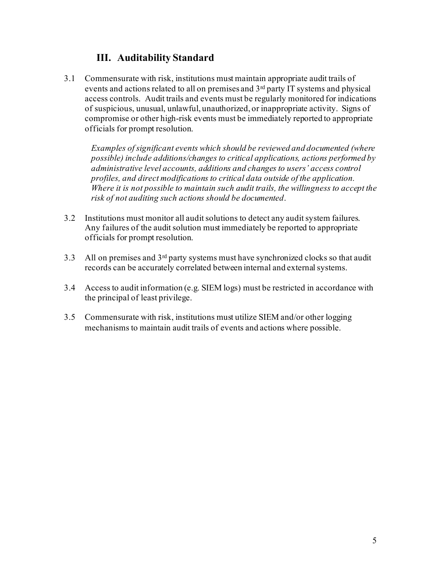## **III. Auditability Standard**

3.1 Commensurate with risk, institutions must maintain appropriate audit trails of events and actions related to all on premises and 3rd party IT systems and physical access controls. Audit trails and events must be regularly monitored for indications of suspicious, unusual, unlawful, unauthorized, or inappropriate activity. Signs of compromise or other high-risk events must be immediately reported to appropriate officials for prompt resolution.

*Examples of significant events which should be reviewed and documented (where possible) include additions/changes to critical applications, actions performed by administrative level accounts, additions and changes to users' access control profiles, and direct modifications to critical data outside of the application. Where it is not possible to maintain such audit trails, the willingness to accept the risk of not auditing such actions should be documented*.

- 3.2 Institutions must monitor all audit solutions to detect any audit system failures. Any failures of the audit solution must immediately be reported to appropriate officials for prompt resolution.
- 3.3 All on premises and 3rd party systems must have synchronized clocks so that audit records can be accurately correlated between internal and external systems.
- 3.4 Access to audit information (e.g. SIEM logs) must be restricted in accordance with the principal of least privilege.
- 3.5 Commensurate with risk, institutions must utilize SIEM and/or other logging mechanisms to maintain audit trails of events and actions where possible.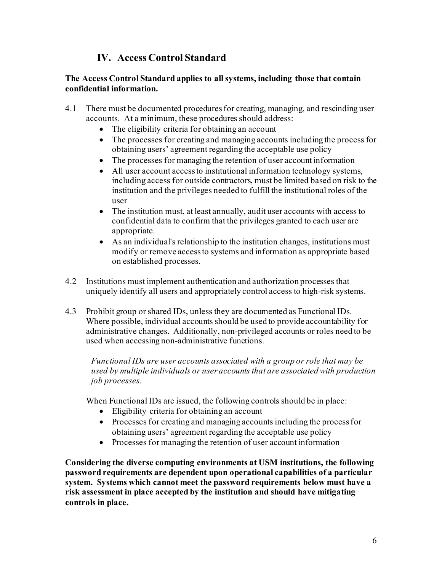# **IV. Access Control Standard**

#### **The Access Control Standard applies to all systems, including those that contain confidential information.**

- 4.1 There must be documented procedures for creating, managing, and rescinding user accounts. At a minimum, these procedures should address:
	- The eligibility criteria for obtaining an account
	- The processes for creating and managing accounts including the process for obtaining users' agreement regarding the acceptable use policy
	- The processes for managing the retention of user account information
	- All user account access to institutional information technology systems, including access for outside contractors, must be limited based on risk to the institution and the privileges needed to fulfill the institutional roles of the user
	- The institution must, at least annually, audit user accounts with access to confidential data to confirm that the privileges granted to each user are appropriate.
	- As an individual's relationship to the institution changes, institutions must modify or remove access to systems and information as appropriate based on established processes.
- 4.2 Institutions must implement authentication and authorization processes that uniquely identify all users and appropriately control access to high-risk systems.
- 4.3 Prohibit group or shared IDs, unless they are documented as Functional IDs. Where possible, individual accounts should be used to provide accountability for administrative changes. Additionally, non-privileged accounts or roles need to be used when accessing non-administrative functions.

*Functional IDs are user accounts associated with a group or role that may be used by multiple individuals or user accounts that are associated with production job processes.*

When Functional IDs are issued, the following controls should be in place:

- Eligibility criteria for obtaining an account
- Processes for creating and managing accounts including the process for obtaining users' agreement regarding the acceptable use policy
- Processes for managing the retention of user account information

**Considering the diverse computing environments at USM institutions, the following password requirements are dependent upon operational capabilities of a particular system. Systems which cannot meet the password requirements below must have a risk assessment in place accepted by the institution and should have mitigating controls in place.**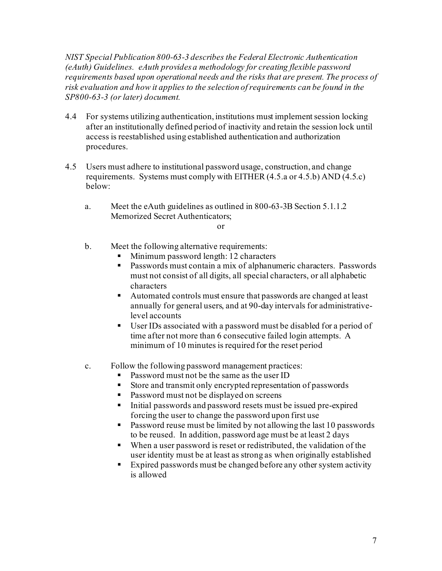*NIST Special Publication 800-63-3 describes the Federal Electronic Authentication (eAuth) Guidelines. eAuth provides a methodology for creating flexible password requirements based upon operational needs and the risks that are present. The process of risk evaluation and how it applies to the selection of requirements can be found in the SP800-63-3 (or later) document.*

- 4.4 For systems utilizing authentication, institutions must implement session locking after an institutionally defined period of inactivity and retain the session lock until access is reestablished using established authentication and authorization procedures.
- 4.5 Users must adhere to institutional password usage, construction, and change requirements. Systems must comply with EITHER (4.5.a or 4.5.b) AND (4.5.c) below:
	- a. Meet the eAuth guidelines as outlined in 800-63-3B Section 5.1.1.2 Memorized Secret Authenticators;

#### or

- b. Meet the following alternative requirements:
	- Minimum password length: 12 characters
	- Passwords must contain a mix of alphanumeric characters. Passwords must not consist of all digits, all special characters, or all alphabetic characters
	- Automated controls must ensure that passwords are changed at least annually for general users, and at 90-day intervals for administrativelevel accounts
	- User IDs associated with a password must be disabled for a period of time after not more than 6 consecutive failed login attempts. A minimum of 10 minutes is required for the reset period
- c. Follow the following password management practices:
	- Password must not be the same as the user ID
	- Store and transmit only encrypted representation of passwords
	- Password must not be displayed on screens
	- Initial passwords and password resets must be issued pre-expired forcing the user to change the password upon first use
	- **Password reuse must be limited by not allowing the last 10 passwords** to be reused. In addition, password age must be at least 2 days
	- When a user password is reset or redistributed, the validation of the user identity must be at least as strong as when originally established
	- Expired passwords must be changed before any other system activity is allowed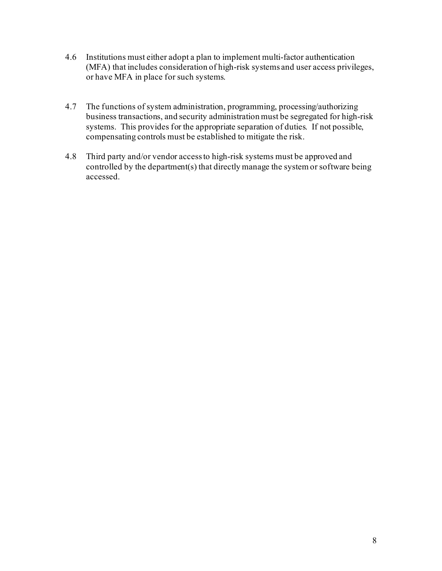- 4.6 Institutions must either adopt a plan to implement multi-factor authentication (MFA) that includes consideration of high-risk systems and user access privileges, or have MFA in place for such systems.
- 4.7 The functions of system administration, programming, processing/authorizing business transactions, and security administration must be segregated for high-risk systems. This provides for the appropriate separation of duties. If not possible, compensating controls must be established to mitigate the risk.
- 4.8 Third party and/or vendor access to high-risk systems must be approved and controlled by the department(s) that directly manage the system or software being accessed.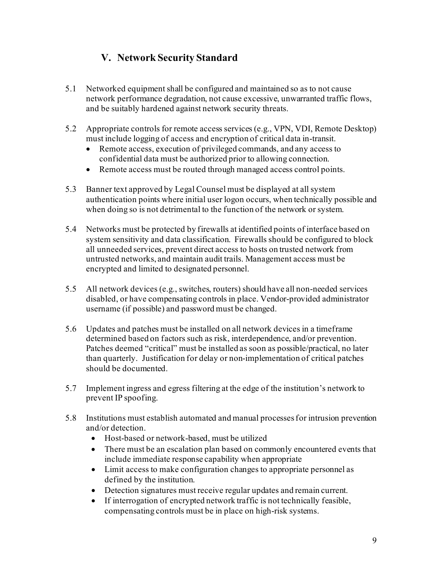# **V. Network Security Standard**

- 5.1 Networked equipment shall be configured and maintained so as to not cause network performance degradation, not cause excessive, unwarranted traffic flows, and be suitably hardened against network security threats.
- 5.2 Appropriate controls for remote access services (e.g., VPN, VDI, Remote Desktop) must include logging of access and encryption of critical data in-transit.
	- Remote access, execution of privileged commands, and any access to confidential data must be authorized prior to allowing connection.
	- Remote access must be routed through managed access control points.
- 5.3 Banner text approved by Legal Counsel must be displayed at all system authentication points where initial user logon occurs, when technically possible and when doing so is not detrimental to the function of the network or system.
- 5.4 Networks must be protected by firewalls at identified points of interface based on system sensitivity and data classification. Firewalls should be configured to block all unneeded services, prevent direct access to hosts on trusted network from untrusted networks, and maintain audit trails. Management access must be encrypted and limited to designated personnel.
- 5.5 All network devices (e.g., switches, routers) should have all non-needed services disabled, or have compensating controls in place. Vendor-provided administrator username (if possible) and password must be changed.
- 5.6 Updates and patches must be installed on all network devices in a timeframe determined based on factors such as risk, interdependence, and/or prevention. Patches deemed "critical" must be installed as soon as possible/practical, no later than quarterly. Justification for delay or non-implementation of critical patches should be documented.
- 5.7 Implement ingress and egress filtering at the edge of the institution's network to prevent IP spoofing.
- 5.8 Institutions must establish automated and manual processes for intrusion prevention and/or detection.
	- Host-based or network-based, must be utilized
	- There must be an escalation plan based on commonly encountered events that include immediate response capability when appropriate
	- Limit access to make configuration changes to appropriate personnel as defined by the institution.
	- Detection signatures must receive regular updates and remain current.
	- If interrogation of encrypted network traffic is not technically feasible, compensating controls must be in place on high-risk systems.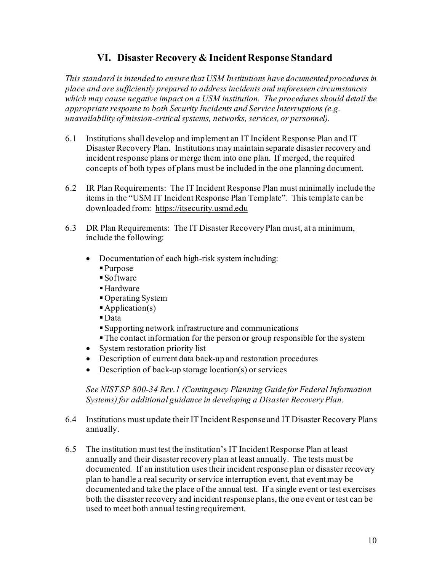# **VI. Disaster Recovery & Incident Response Standard**

*This standard is intended to ensure that USM Institutions have documented procedures in place and are sufficiently prepared to address incidents and unforeseen circumstances which may cause negative impact on a USM institution. The procedures should detail the appropriate response to both Security Incidents and Service Interruptions (e.g. unavailability of mission-critical systems, networks, services, or personnel).* 

- 6.1 Institutions shall develop and implement an IT Incident Response Plan and IT Disaster Recovery Plan. Institutions may maintain separate disaster recovery and incident response plans or merge them into one plan. If merged, the required concepts of both types of plans must be included in the one planning document.
- 6.2 IR Plan Requirements: The IT Incident Response Plan must minimally include the items in the "USM IT Incident Response Plan Template". This template can be downloaded from: [https://itsecurity.usmd.edu](https://www.usmd.edu/placeholder.html)
- 6.3 DR Plan Requirements: The IT Disaster Recovery Plan must, at a minimum, include the following:
	- Documentation of each high-risk system including:
		- Purpose
		- Software
		- Hardware
		- Operating System
		- $\blacktriangle$ Application(s)
		- Data
		- Supporting network infrastructure and communications
		- The contact information for the person or group responsible for the system
	- System restoration priority list
	- Description of current data back-up and restoration procedures
	- Description of back-up storage location(s) or services

*See NIST SP 800-34 Rev.1 (Contingency Planning Guide for Federal Information Systems) for additional guidance in developing a Disaster Recovery Plan.*

- 6.4 Institutions must update their IT Incident Response and IT Disaster Recovery Plans annually.
- 6.5 The institution must test the institution's IT Incident Response Plan at least annually and their disaster recovery plan at least annually. The tests must be documented. If an institution uses their incident response plan or disaster recovery plan to handle a real security or service interruption event, that event may be documented and take the place of the annual test. If a single event or test exercises both the disaster recovery and incident response plans, the one event or test can be used to meet both annual testing requirement.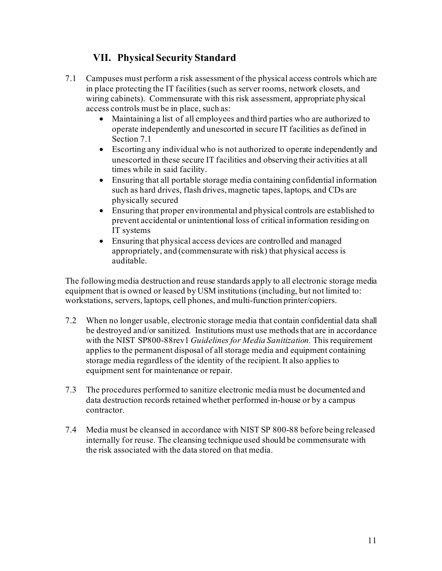# **VII. Physical Security Standard**

- 7.1 Campuses must perform a risk assessment of the physical access controls which are in place protecting the IT facilities (such as server rooms, network closets, and wiring cabinets). Commensurate with this risk assessment, appropriate physical access controls must be in place, such as:
	- Maintaining a list of all employees and third parties who are authorized to operate independently and unescorted in secure IT facilities as defined in Section 7.1
	- Escorting any individual who is not authorized to operate independently and unescorted in these secure IT facilities and observing their activities at all times while in said facility.
	- Ensuring that all portable storage media containing confidential information such as hard drives, flash drives, magnetic tapes, laptops, and CDs are physically secured
	- Ensuring that proper environmental and physical controls are established to prevent accidental or unintentional loss of critical information residing on IT systems
	- Ensuring that physical access devices are controlled and managed appropriately, and (commensurate with risk) that physical access is auditable.

The following media destruction and reuse standards apply to all electronic storage media equipment that is owned or leased by USM institutions (including, but not limited to: workstations, servers, laptops, cell phones, and multi-function printer/copiers.

- 7.2 When no longer usable, electronic storage media that contain confidential data shall be destroyed and/or sanitized. Institutions must use methods that are in accordance with the NIST SP800-88rev1 *Guidelines for Media Sanitization.* This requirement applies to the permanent disposal of all storage media and equipment containing storage media regardless of the identity of the recipient. It also applies to equipment sent for maintenance or repair.
- 7.3 The procedures performed to sanitize electronic media must be documented and data destruction records retained whether performed in-house or by a campus contractor.
- 7.4 Media must be cleansed in accordance with NIST SP 800-88 before being released internally for reuse. The cleansing technique used should be commensurate with the risk associated with the data stored on that media.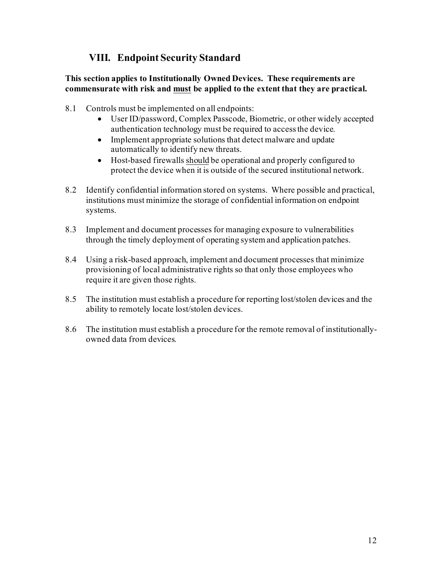# **VIII. Endpoint Security Standard**

#### **This section applies to Institutionally Owned Devices. These requirements are commensurate with risk and must be applied to the extent that they are practical.**

- 8.1 Controls must be implemented on all endpoints:
	- User ID/password, Complex Passcode, Biometric, or other widely accepted authentication technology must be required to access the device.
	- Implement appropriate solutions that detect malware and update automatically to identify new threats.
	- Host-based firewalls should be operational and properly configured to protect the device when it is outside of the secured institutional network.
- 8.2 Identify confidential information stored on systems. Where possible and practical, institutions must minimize the storage of confidential information on endpoint systems.
- 8.3 Implement and document processes for managing exposure to vulnerabilities through the timely deployment of operating system and application patches.
- 8.4 Using a risk-based approach, implement and document processes that minimize provisioning of local administrative rights so that only those employees who require it are given those rights.
- 8.5 The institution must establish a procedure for reporting lost/stolen devices and the ability to remotely locate lost/stolen devices.
- 8.6 The institution must establish a procedure for the remote removal of institutionallyowned data from devices.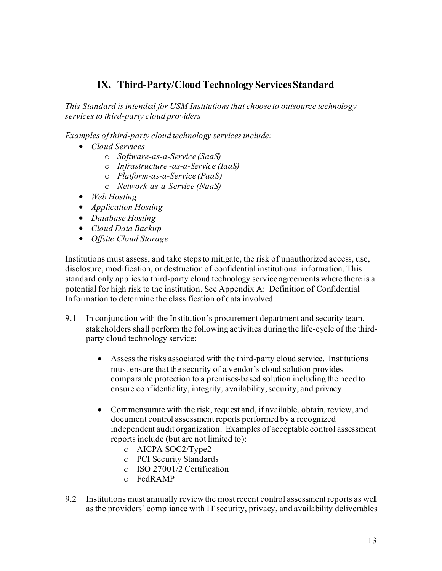# **IX. Third-Party/Cloud Technology Services Standard**

*This Standard is intended for USM Institutions that choose to outsource technology services to third-party cloud providers*

*Examples of third-party cloud technology services include:*

- *Cloud Services*
	- o *Software-as-a-Service (SaaS)*
	- o *Infrastructure -as-a-Service (IaaS)*
	- o *Platform-as-a-Service (PaaS)*
	- o *Network-as-a-Service (NaaS)*
- *Web Hosting*
- *Application Hosting*
- *Database Hosting*
- *Cloud Data Backup*
- *Offsite Cloud Storage*

Institutions must assess, and take steps to mitigate, the risk of unauthorized access, use, disclosure, modification, or destruction of confidential institutional information. This standard only applies to third-party cloud technology service agreements where there is a potential for high risk to the institution. See Appendix A: Definition of Confidential Information to determine the classification of data involved.

- 9.1 In conjunction with the Institution's procurement department and security team, stakeholders shall perform the following activities during the life-cycle of the thirdparty cloud technology service:
	- Assess the risks associated with the third-party cloud service. Institutions must ensure that the security of a vendor's cloud solution provides comparable protection to a premises-based solution including the need to ensure confidentiality, integrity, availability, security, and privacy.
	- Commensurate with the risk, request and, if available, obtain, review, and document control assessment reports performed by a recognized independent audit organization. Examples of acceptable control assessment reports include (but are not limited to):
		- o AICPA SOC2/Type2
		- o PCI Security Standards
		- o ISO 27001/2 Certification
		- o FedRAMP
- 9.2 Institutions must annually review the most recent control assessment reports as well as the providers' compliance with IT security, privacy, and availability deliverables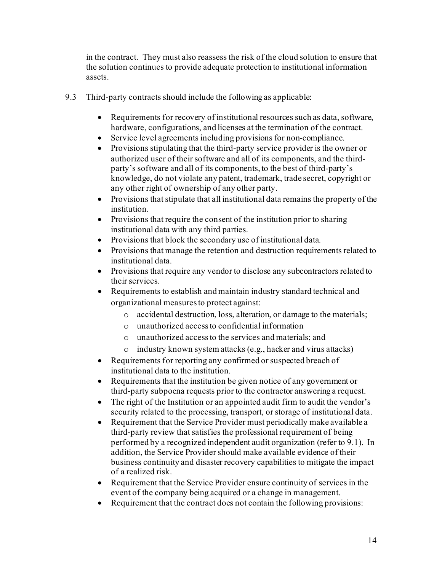in the contract. They must also reassess the risk of the cloud solution to ensure that the solution continues to provide adequate protection to institutional information assets.

- 9.3 Third-party contracts should include the following as applicable:
	- Requirements for recovery of institutional resources such as data, software, hardware, configurations, and licenses at the termination of the contract.
	- Service level agreements including provisions for non-compliance.
	- Provisions stipulating that the third-party service provider is the owner or authorized user of their software and all of its components, and the thirdparty's software and all of its components, to the best of third-party's knowledge, do not violate any patent, trademark, trade secret, copyright or any other right of ownership of any other party.
	- Provisions that stipulate that all institutional data remains the property of the institution.
	- Provisions that require the consent of the institution prior to sharing institutional data with any third parties.
	- Provisions that block the secondary use of institutional data.
	- Provisions that manage the retention and destruction requirements related to institutional data.
	- Provisions that require any vendor to disclose any subcontractors related to their services.
	- Requirements to establish and maintain industry standard technical and organizational measures to protect against:
		- o accidental destruction, loss, alteration, or damage to the materials;
		- o unauthorized access to confidential information
		- o unauthorized access to the services and materials; and
		- o industry known system attacks (e.g., hacker and virus attacks)
	- Requirements for reporting any confirmed or suspected breach of institutional data to the institution.
	- Requirements that the institution be given notice of any government or third-party subpoena requests prior to the contractor answering a request.
	- The right of the Institution or an appointed audit firm to audit the vendor's security related to the processing, transport, or storage of institutional data.
	- Requirement that the Service Provider must periodically make available a third-party review that satisfies the professional requirement of being performed by a recognized independent audit organization (refer to 9.1). In addition, the Service Provider should make available evidence of their business continuity and disaster recovery capabilities to mitigate the impact of a realized risk.
	- Requirement that the Service Provider ensure continuity of services in the event of the company being acquired or a change in management.
	- Requirement that the contract does not contain the following provisions: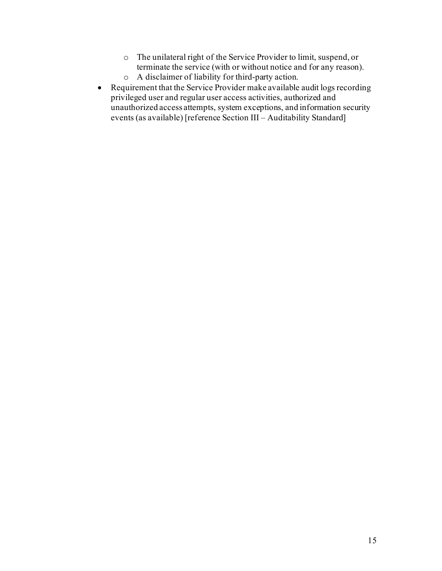- o The unilateral right of the Service Provider to limit, suspend, or terminate the service (with or without notice and for any reason).
- o A disclaimer of liability for third-party action.
- Requirement that the Service Provider make available audit logs recording privileged user and regular user access activities, authorized and unauthorized access attempts, system exceptions, and information security events (as available) [reference Section III – Auditability Standard]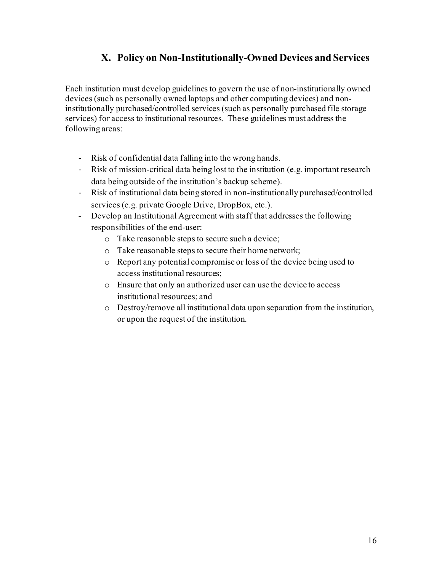# **X. Policy on Non-Institutionally-Owned Devices and Services**

Each institution must develop guidelines to govern the use of non-institutionally owned devices (such as personally owned laptops and other computing devices) and noninstitutionally purchased/controlled services (such as personally purchased file storage services) for access to institutional resources. These guidelines must address the following areas:

- Risk of confidential data falling into the wrong hands.
- Risk of mission-critical data being lost to the institution (e.g. important research data being outside of the institution's backup scheme).
- Risk of institutional data being stored in non-institutionally purchased/controlled services (e.g. private Google Drive, DropBox, etc.).
- Develop an Institutional Agreement with staff that addresses the following responsibilities of the end-user:
	- o Take reasonable steps to secure such a device;
	- o Take reasonable steps to secure their home network;
	- o Report any potential compromise or loss of the device being used to access institutional resources;
	- o Ensure that only an authorized user can use the device to access institutional resources; and
	- o Destroy/remove all institutional data upon separation from the institution, or upon the request of the institution.